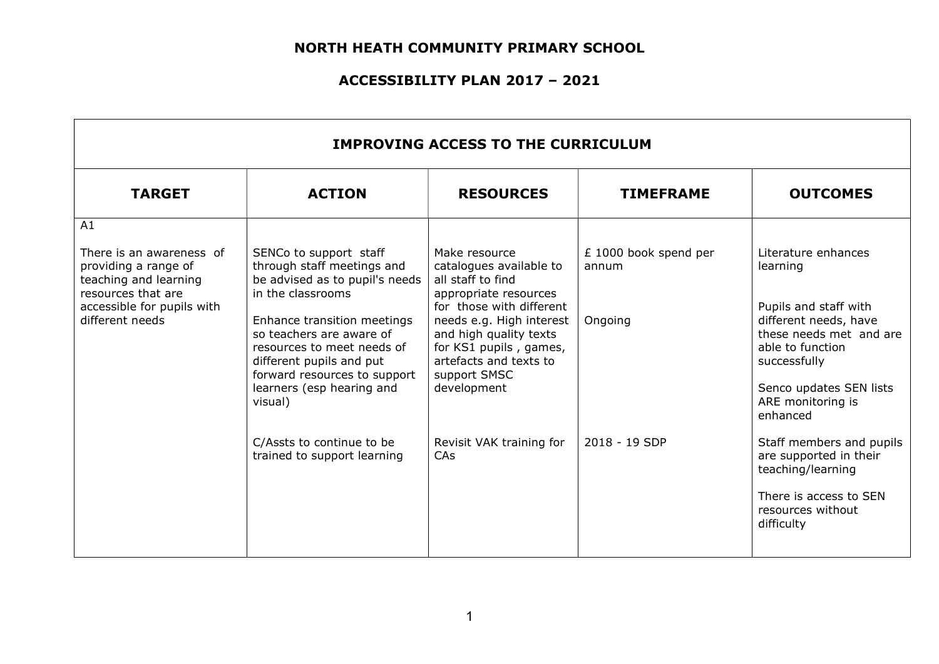| <b>IMPROVING ACCESS TO THE CURRICULUM</b>                                                                                                                                                                                                  |                                                                                                             |                                                                                                                                                    |                                                          |                                                                                                               |
|--------------------------------------------------------------------------------------------------------------------------------------------------------------------------------------------------------------------------------------------|-------------------------------------------------------------------------------------------------------------|----------------------------------------------------------------------------------------------------------------------------------------------------|----------------------------------------------------------|---------------------------------------------------------------------------------------------------------------|
| <b>TARGET</b>                                                                                                                                                                                                                              | <b>ACTION</b>                                                                                               | <b>RESOURCES</b>                                                                                                                                   | <b>TIMEFRAME</b>                                         | <b>OUTCOMES</b>                                                                                               |
| A1                                                                                                                                                                                                                                         |                                                                                                             |                                                                                                                                                    |                                                          |                                                                                                               |
| There is an awareness of<br>providing a range of<br>teaching and learning<br>resources that are                                                                                                                                            | SENCo to support staff<br>through staff meetings and<br>be advised as to pupil's needs<br>in the classrooms | Make resource<br>catalogues available to<br>all staff to find<br>appropriate resources                                                             | £ 1000 book spend per<br>annum                           | Literature enhances<br>learning                                                                               |
| accessible for pupils with<br>different needs<br>Enhance transition meetings<br>so teachers are aware of<br>resources to meet needs of<br>different pupils and put<br>forward resources to support<br>learners (esp hearing and<br>visual) |                                                                                                             | for those with different<br>needs e.g. High interest<br>and high quality texts<br>for KS1 pupils, games,<br>artefacts and texts to<br>support SMSC | Ongoing                                                  | Pupils and staff with<br>different needs, have<br>these needs met and are<br>able to function<br>successfully |
|                                                                                                                                                                                                                                            | development                                                                                                 |                                                                                                                                                    | Senco updates SEN lists<br>ARE monitoring is<br>enhanced |                                                                                                               |
|                                                                                                                                                                                                                                            | C/Assts to continue to be<br>trained to support learning                                                    | Revisit VAK training for<br><b>CAs</b>                                                                                                             | 2018 - 19 SDP                                            | Staff members and pupils<br>are supported in their<br>teaching/learning                                       |
|                                                                                                                                                                                                                                            |                                                                                                             |                                                                                                                                                    |                                                          | There is access to SEN<br>resources without<br>difficulty                                                     |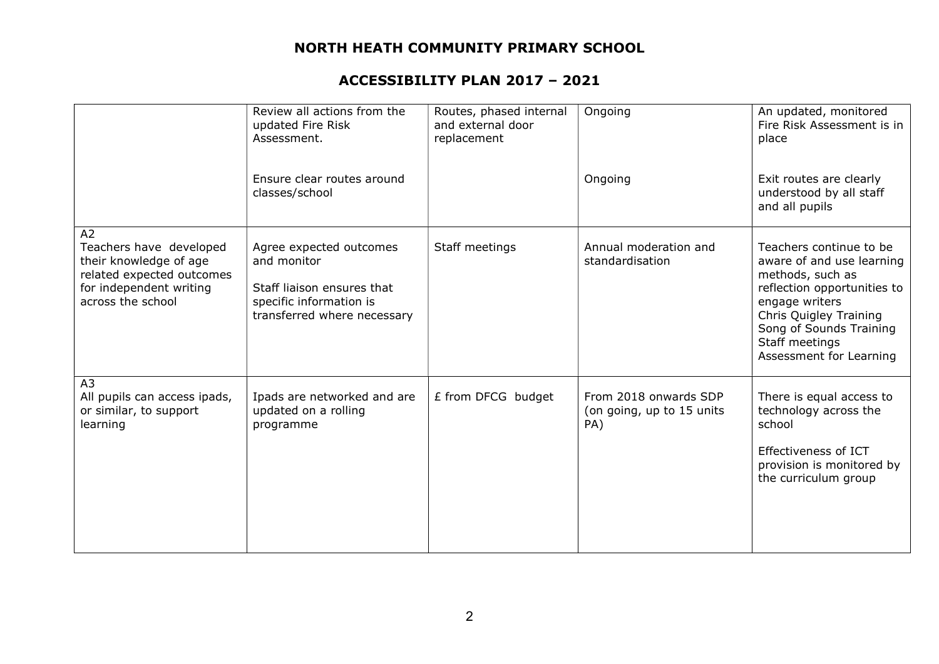|                                                                                                                                      | Review all actions from the<br>updated Fire Risk<br>Assessment.                                                                | Routes, phased internal<br>and external door<br>replacement | Ongoing                                                   | An updated, monitored<br>Fire Risk Assessment is in<br>place                                                                                                                                                                |
|--------------------------------------------------------------------------------------------------------------------------------------|--------------------------------------------------------------------------------------------------------------------------------|-------------------------------------------------------------|-----------------------------------------------------------|-----------------------------------------------------------------------------------------------------------------------------------------------------------------------------------------------------------------------------|
|                                                                                                                                      | Ensure clear routes around<br>classes/school                                                                                   |                                                             | Ongoing                                                   | Exit routes are clearly<br>understood by all staff<br>and all pupils                                                                                                                                                        |
| A2<br>Teachers have developed<br>their knowledge of age<br>related expected outcomes<br>for independent writing<br>across the school | Agree expected outcomes<br>and monitor<br>Staff liaison ensures that<br>specific information is<br>transferred where necessary | Staff meetings                                              | Annual moderation and<br>standardisation                  | Teachers continue to be<br>aware of and use learning<br>methods, such as<br>reflection opportunities to<br>engage writers<br>Chris Quigley Training<br>Song of Sounds Training<br>Staff meetings<br>Assessment for Learning |
| A <sub>3</sub><br>All pupils can access ipads,<br>or similar, to support<br>learning                                                 | Ipads are networked and are<br>updated on a rolling<br>programme                                                               | £ from DFCG budget                                          | From 2018 onwards SDP<br>(on going, up to 15 units<br>PA) | There is equal access to<br>technology across the<br>school<br>Effectiveness of ICT<br>provision is monitored by<br>the curriculum group                                                                                    |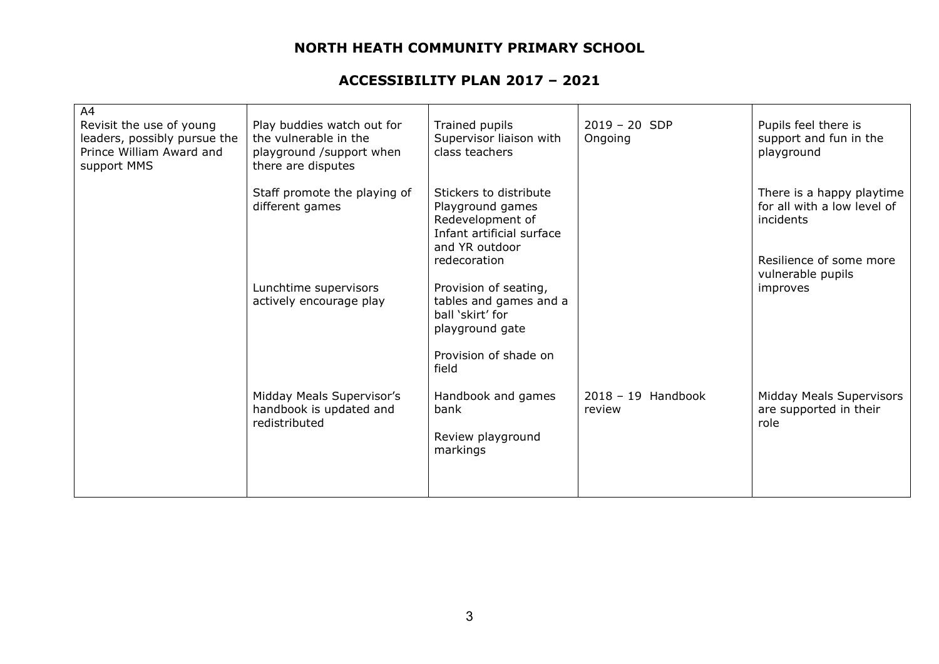| A4<br>Revisit the use of young<br>leaders, possibly pursue the<br>Prince William Award and<br>support MMS | Play buddies watch out for<br>the vulnerable in the<br>playground /support when<br>there are disputes | Trained pupils<br>Supervisor liaison with<br>class teachers                                                                              | $2019 - 20$ SDP<br>Ongoing     | Pupils feel there is<br>support and fun in the<br>playground          |
|-----------------------------------------------------------------------------------------------------------|-------------------------------------------------------------------------------------------------------|------------------------------------------------------------------------------------------------------------------------------------------|--------------------------------|-----------------------------------------------------------------------|
|                                                                                                           | Staff promote the playing of<br>different games                                                       | Stickers to distribute<br>Playground games<br>Redevelopment of<br>Infant artificial surface<br>and YR outdoor                            |                                | There is a happy playtime<br>for all with a low level of<br>incidents |
|                                                                                                           | Lunchtime supervisors<br>actively encourage play                                                      | redecoration<br>Provision of seating,<br>tables and games and a<br>ball 'skirt' for<br>playground gate<br>Provision of shade on<br>field |                                | Resilience of some more<br>vulnerable pupils<br>improves              |
|                                                                                                           | Midday Meals Supervisor's<br>handbook is updated and<br>redistributed                                 | Handbook and games<br>bank<br>Review playground<br>markings                                                                              | $2018 - 19$ Handbook<br>review | Midday Meals Supervisors<br>are supported in their<br>role            |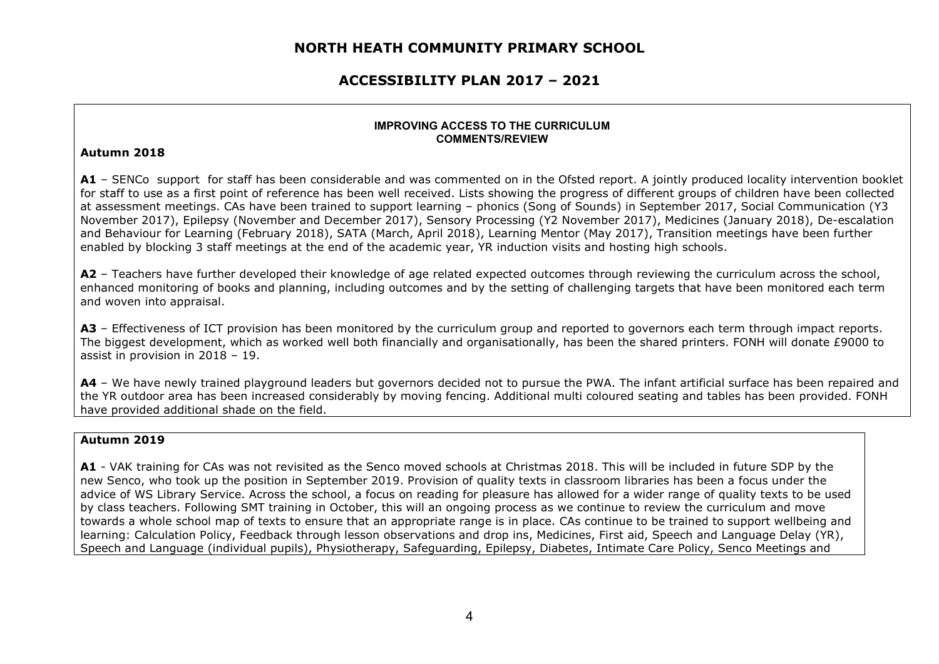### ACCESSIBILITY PLAN 2017 – 2021

#### IMPROVING ACCESS TO THE CURRICULUM COMMENTS/REVIEW

#### Autumn 2018

A1 – SENCo support for staff has been considerable and was commented on in the Ofsted report. A jointly produced locality intervention booklet for staff to use as a first point of reference has been well received. Lists showing the progress of different groups of children have been collected at assessment meetings. CAs have been trained to support learning – phonics (Song of Sounds) in September 2017, Social Communication (Y3 November 2017), Epilepsy (November and December 2017), Sensory Processing (Y2 November 2017), Medicines (January 2018), De-escalation and Behaviour for Learning (February 2018), SATA (March, April 2018), Learning Mentor (May 2017), Transition meetings have been further enabled by blocking 3 staff meetings at the end of the academic year, YR induction visits and hosting high schools.

A2 – Teachers have further developed their knowledge of age related expected outcomes through reviewing the curriculum across the school, enhanced monitoring of books and planning, including outcomes and by the setting of challenging targets that have been monitored each term and woven into appraisal.

A3 – Effectiveness of ICT provision has been monitored by the curriculum group and reported to governors each term through impact reports. The biggest development, which as worked well both financially and organisationally, has been the shared printers. FONH will donate £9000 to assist in provision in 2018 – 19.

A4 – We have newly trained playground leaders but governors decided not to pursue the PWA. The infant artificial surface has been repaired and the YR outdoor area has been increased considerably by moving fencing. Additional multi coloured seating and tables has been provided. FONH have provided additional shade on the field.

#### Autumn 2019

A1 - VAK training for CAs was not revisited as the Senco moved schools at Christmas 2018. This will be included in future SDP by the new Senco, who took up the position in September 2019. Provision of quality texts in classroom libraries has been a focus under the advice of WS Library Service. Across the school, a focus on reading for pleasure has allowed for a wider range of quality texts to be used by class teachers. Following SMT training in October, this will an ongoing process as we continue to review the curriculum and move towards a whole school map of texts to ensure that an appropriate range is in place. CAs continue to be trained to support wellbeing and learning: Calculation Policy, Feedback through lesson observations and drop ins, Medicines, First aid, Speech and Language Delay (YR), Speech and Language (individual pupils), Physiotherapy, Safeguarding, Epilepsy, Diabetes, Intimate Care Policy, Senco Meetings and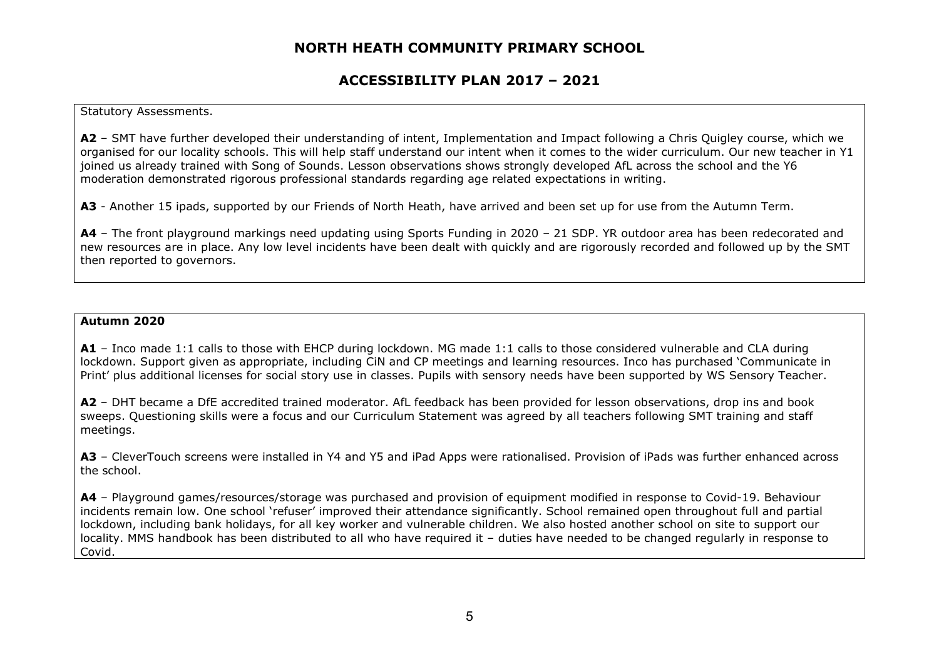### ACCESSIBILITY PLAN 2017 – 2021

#### Statutory Assessments.

A2 – SMT have further developed their understanding of intent, Implementation and Impact following a Chris Quigley course, which we organised for our locality schools. This will help staff understand our intent when it comes to the wider curriculum. Our new teacher in Y1 joined us already trained with Song of Sounds. Lesson observations shows strongly developed AfL across the school and the Y6 moderation demonstrated rigorous professional standards regarding age related expectations in writing.

A3 - Another 15 ipads, supported by our Friends of North Heath, have arrived and been set up for use from the Autumn Term.

A4 – The front playground markings need updating using Sports Funding in 2020 – 21 SDP. YR outdoor area has been redecorated and new resources are in place. Any low level incidents have been dealt with quickly and are rigorously recorded and followed up by the SMT then reported to governors.

#### Autumn 2020

A1 – Inco made 1:1 calls to those with EHCP during lockdown. MG made 1:1 calls to those considered vulnerable and CLA during lockdown. Support given as appropriate, including CiN and CP meetings and learning resources. Inco has purchased 'Communicate in Print' plus additional licenses for social story use in classes. Pupils with sensory needs have been supported by WS Sensory Teacher.

A2 – DHT became a DfE accredited trained moderator. AfL feedback has been provided for lesson observations, drop ins and book sweeps. Questioning skills were a focus and our Curriculum Statement was agreed by all teachers following SMT training and staff meetings.

A3 – CleverTouch screens were installed in Y4 and Y5 and iPad Apps were rationalised. Provision of iPads was further enhanced across the school.

A4 - Playground games/resources/storage was purchased and provision of equipment modified in response to Covid-19. Behaviour incidents remain low. One school 'refuser' improved their attendance significantly. School remained open throughout full and partial lockdown, including bank holidays, for all key worker and vulnerable children. We also hosted another school on site to support our locality. MMS handbook has been distributed to all who have required it – duties have needed to be changed regularly in response to Covid.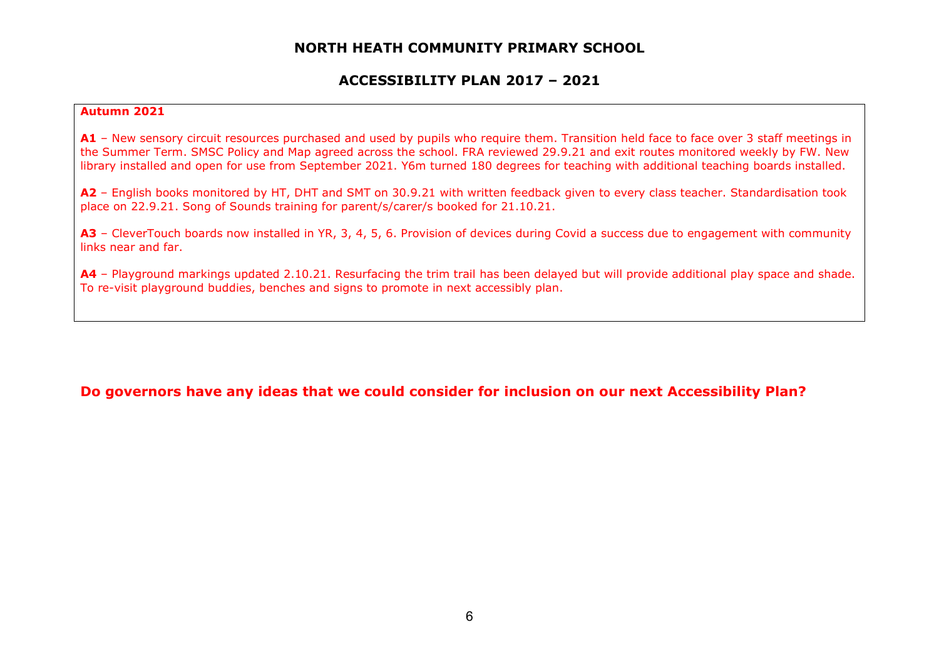### ACCESSIBILITY PLAN 2017 – 2021

### Autumn 2021

A1 - New sensory circuit resources purchased and used by pupils who require them. Transition held face to face over 3 staff meetings in the Summer Term. SMSC Policy and Map agreed across the school. FRA reviewed 29.9.21 and exit routes monitored weekly by FW. New library installed and open for use from September 2021. Y6m turned 180 degrees for teaching with additional teaching boards installed.

A2 – English books monitored by HT, DHT and SMT on 30.9.21 with written feedback given to every class teacher. Standardisation took place on 22.9.21. Song of Sounds training for parent/s/carer/s booked for 21.10.21.

A3 - CleverTouch boards now installed in YR, 3, 4, 5, 6. Provision of devices during Covid a success due to engagement with community links near and far.

A4 – Playground markings updated 2.10.21. Resurfacing the trim trail has been delayed but will provide additional play space and shade. To re-visit playground buddies, benches and signs to promote in next accessibly plan.

### Do governors have any ideas that we could consider for inclusion on our next Accessibility Plan?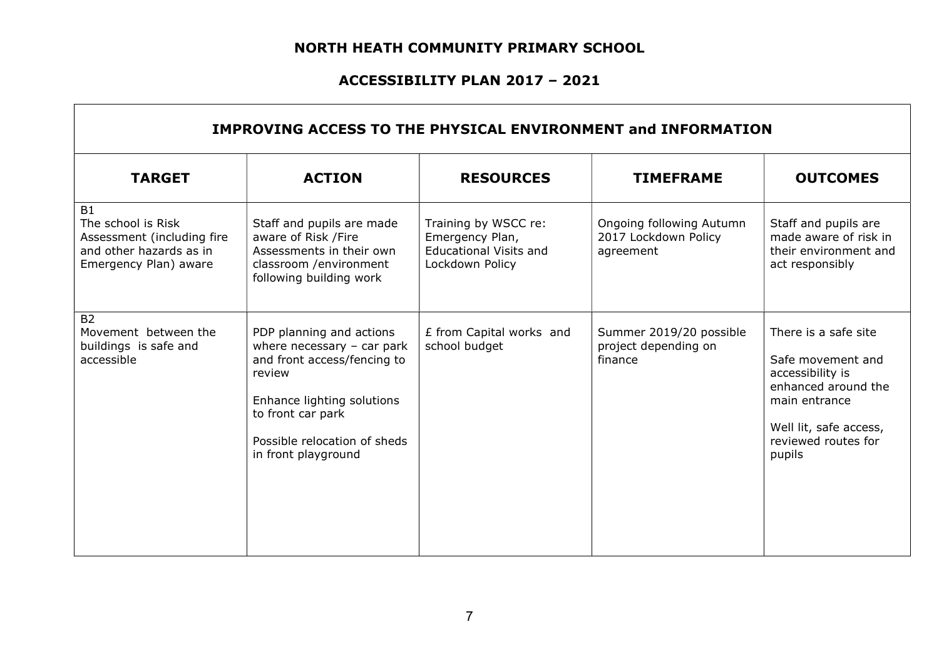## ACCESSIBILITY PLAN 2017 – 2021

 $\Gamma$ 

| IMPROVING ACCESS TO THE PHYSICAL ENVIRONMENT and INFORMATION                                                      |                                                                                                                                                                                                             |                                                                                             |                                                               |                                                                                                                                                                  |
|-------------------------------------------------------------------------------------------------------------------|-------------------------------------------------------------------------------------------------------------------------------------------------------------------------------------------------------------|---------------------------------------------------------------------------------------------|---------------------------------------------------------------|------------------------------------------------------------------------------------------------------------------------------------------------------------------|
| <b>TARGET</b>                                                                                                     | <b>ACTION</b>                                                                                                                                                                                               | <b>RESOURCES</b>                                                                            | <b>TIMEFRAME</b>                                              | <b>OUTCOMES</b>                                                                                                                                                  |
| <b>B1</b><br>The school is Risk<br>Assessment (including fire<br>and other hazards as in<br>Emergency Plan) aware | Staff and pupils are made<br>aware of Risk /Fire<br>Assessments in their own<br>classroom /environment<br>following building work                                                                           | Training by WSCC re:<br>Emergency Plan,<br><b>Educational Visits and</b><br>Lockdown Policy | Ongoing following Autumn<br>2017 Lockdown Policy<br>agreement | Staff and pupils are<br>made aware of risk in<br>their environment and<br>act responsibly                                                                        |
| <b>B2</b><br>Movement between the<br>buildings is safe and<br>accessible                                          | PDP planning and actions<br>where necessary $-$ car park<br>and front access/fencing to<br>review<br>Enhance lighting solutions<br>to front car park<br>Possible relocation of sheds<br>in front playground | £ from Capital works and<br>school budget                                                   | Summer 2019/20 possible<br>project depending on<br>finance    | There is a safe site<br>Safe movement and<br>accessibility is<br>enhanced around the<br>main entrance<br>Well lit, safe access,<br>reviewed routes for<br>pupils |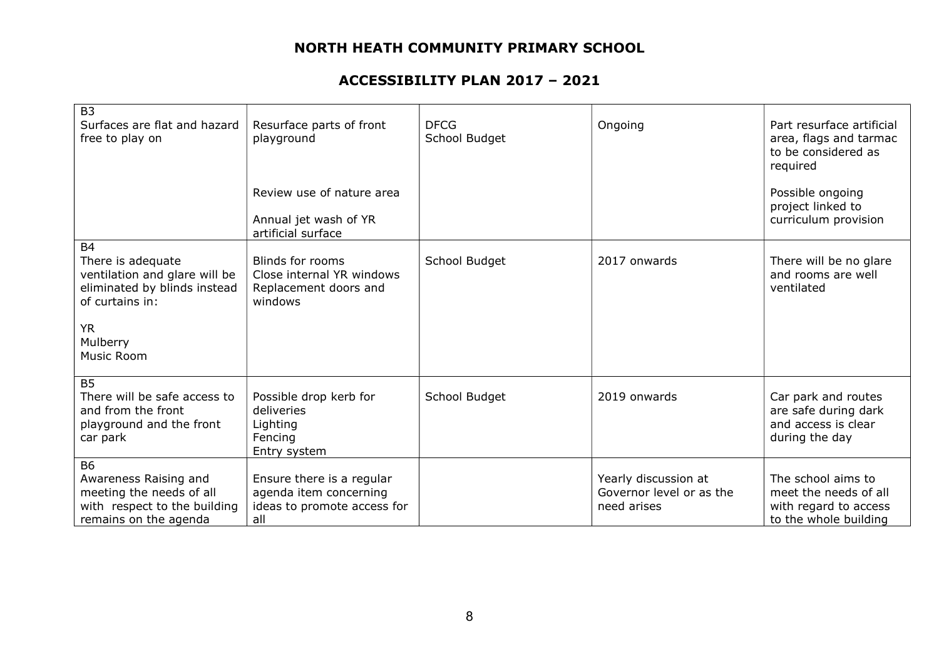| B <sub>3</sub><br>Surfaces are flat and hazard<br>free to play on                                                       | Resurface parts of front<br>playground<br>Review use of nature area<br>Annual jet wash of YR | <b>DFCG</b><br>School Budget | Ongoing                                                         | Part resurface artificial<br>area, flags and tarmac<br>to be considered as<br>required<br>Possible ongoing<br>project linked to<br>curriculum provision |
|-------------------------------------------------------------------------------------------------------------------------|----------------------------------------------------------------------------------------------|------------------------------|-----------------------------------------------------------------|---------------------------------------------------------------------------------------------------------------------------------------------------------|
|                                                                                                                         | artificial surface                                                                           |                              |                                                                 |                                                                                                                                                         |
| <b>B4</b><br>There is adequate<br>ventilation and glare will be<br>eliminated by blinds instead<br>of curtains in:      | Blinds for rooms<br>Close internal YR windows<br>Replacement doors and<br>windows            | School Budget                | 2017 onwards                                                    | There will be no glare<br>and rooms are well<br>ventilated                                                                                              |
| <b>YR</b><br>Mulberry<br>Music Room                                                                                     |                                                                                              |                              |                                                                 |                                                                                                                                                         |
| <b>B5</b><br>There will be safe access to<br>and from the front<br>playground and the front<br>car park                 | Possible drop kerb for<br>deliveries<br>Lighting<br>Fencing<br>Entry system                  | School Budget                | 2019 onwards                                                    | Car park and routes<br>are safe during dark<br>and access is clear<br>during the day                                                                    |
| <b>B6</b><br>Awareness Raising and<br>meeting the needs of all<br>with respect to the building<br>remains on the agenda | Ensure there is a regular<br>agenda item concerning<br>ideas to promote access for<br>all    |                              | Yearly discussion at<br>Governor level or as the<br>need arises | The school aims to<br>meet the needs of all<br>with regard to access<br>to the whole building                                                           |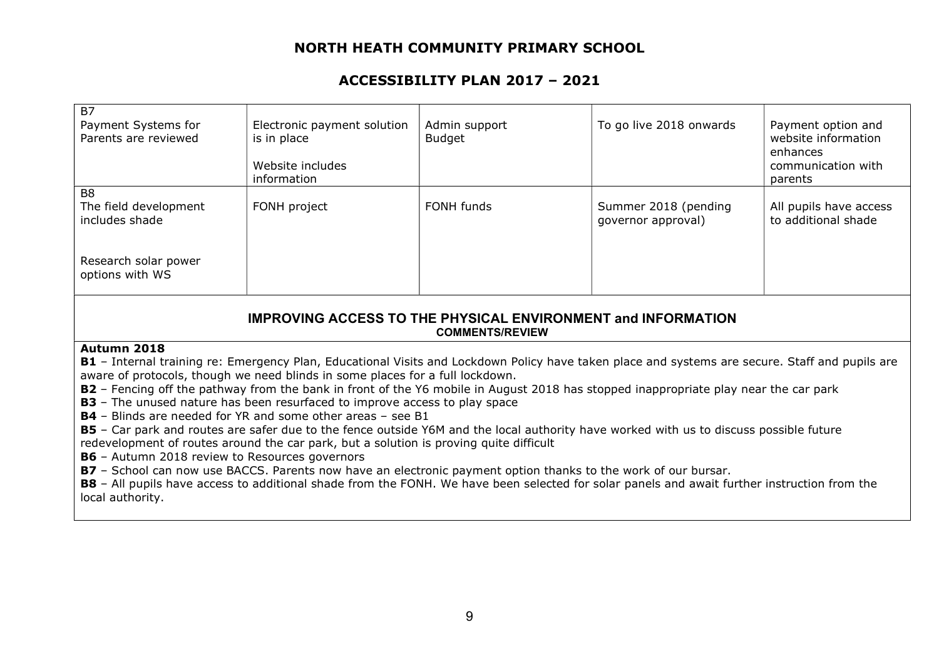## ACCESSIBILITY PLAN 2017 – 2021

| <b>B7</b><br>Payment Systems for<br>Parents are reviewed  | Electronic payment solution<br>is in place<br>Website includes<br>information | Admin support<br>Budget | To go live 2018 onwards                    | Payment option and<br>website information<br>enhances<br>communication with<br>parents |
|-----------------------------------------------------------|-------------------------------------------------------------------------------|-------------------------|--------------------------------------------|----------------------------------------------------------------------------------------|
| B <sub>8</sub><br>The field development<br>includes shade | FONH project                                                                  | FONH funds              | Summer 2018 (pending<br>governor approval) | All pupils have access<br>to additional shade                                          |
| Research solar power<br>options with WS                   |                                                                               |                         |                                            |                                                                                        |

### IMPROVING ACCESS TO THE PHYSICAL ENVIRONMENT and INFORMATION COMMENTS/REVIEW

#### Autumn 2018

B1 - Internal training re: Emergency Plan, Educational Visits and Lockdown Policy have taken place and systems are secure. Staff and pupils are aware of protocols, though we need blinds in some places for a full lockdown.

B2 – Fencing off the pathway from the bank in front of the Y6 mobile in August 2018 has stopped inappropriate play near the car park

**B3** – The unused nature has been resurfaced to improve access to play space

B4 – Blinds are needed for YR and some other areas – see B1

B5 – Car park and routes are safer due to the fence outside Y6M and the local authority have worked with us to discuss possible future redevelopment of routes around the car park, but a solution is proving quite difficult

B6 – Autumn 2018 review to Resources governors

B7 - School can now use BACCS. Parents now have an electronic payment option thanks to the work of our bursar.

B8 - All pupils have access to additional shade from the FONH. We have been selected for solar panels and await further instruction from the local authority.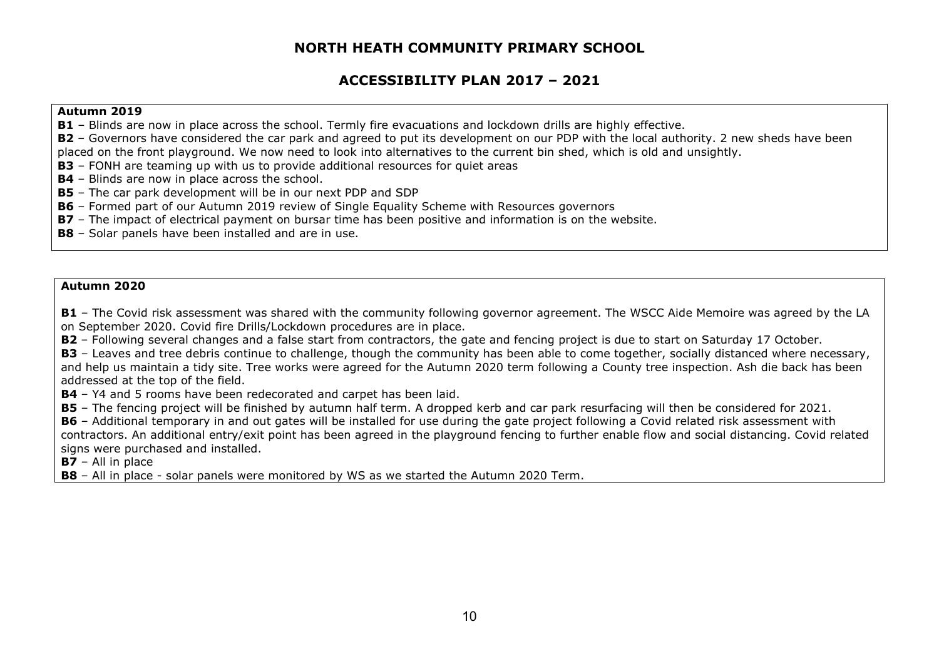## ACCESSIBILITY PLAN 2017 – 2021

#### Autumn 2019

**B1** – Blinds are now in place across the school. Termly fire evacuations and lockdown drills are highly effective.

B2 - Governors have considered the car park and agreed to put its development on our PDP with the local authority. 2 new sheds have been placed on the front playground. We now need to look into alternatives to the current bin shed, which is old and unsightly.

B3 - FONH are teaming up with us to provide additional resources for quiet areas

**B4** – Blinds are now in place across the school.

B5 – The car park development will be in our next PDP and SDP

B6 - Formed part of our Autumn 2019 review of Single Equality Scheme with Resources governors

B7 - The impact of electrical payment on bursar time has been positive and information is on the website.

**B8** - Solar panels have been installed and are in use.

#### Autumn 2020

B1 – The Covid risk assessment was shared with the community following governor agreement. The WSCC Aide Memoire was agreed by the LA on September 2020. Covid fire Drills/Lockdown procedures are in place.

B2 – Following several changes and a false start from contractors, the gate and fencing project is due to start on Saturday 17 October.

B3 - Leaves and tree debris continue to challenge, though the community has been able to come together, socially distanced where necessary, and help us maintain a tidy site. Tree works were agreed for the Autumn 2020 term following a County tree inspection. Ash die back has been addressed at the top of the field.

**B4** – Y4 and 5 rooms have been redecorated and carpet has been laid.

B5 – The fencing project will be finished by autumn half term. A dropped kerb and car park resurfacing will then be considered for 2021.

B6 - Additional temporary in and out gates will be installed for use during the gate project following a Covid related risk assessment with contractors. An additional entry/exit point has been agreed in the playground fencing to further enable flow and social distancing. Covid related signs were purchased and installed.

 $B7 - All$  in place

**B8** – All in place - solar panels were monitored by WS as we started the Autumn 2020 Term.